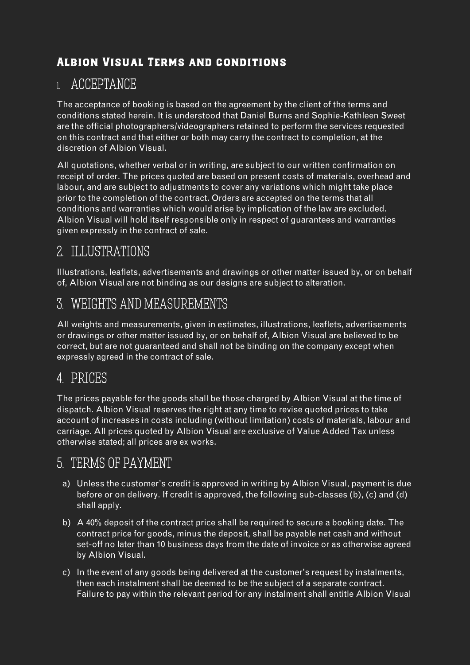#### Albion Visual Terms and conditions

## 1. ACCEPTANCE

The acceptance of booking is based on the agreement by the client of the terms and conditions stated herein. It is understood that Daniel Burns and Sophie-Kathleen Sweet are the official photographers/videographers retained to perform the services requested on this contract and that either or both may carry the contract to completion, at the discretion of Albion Visual.

All quotations, whether verbal or in writing, are subject to our written confirmation on receipt of order. The prices quoted are based on present costs of materials, overhead and labour, and are subject to adjustments to cover any variations which might take place prior to the completion of the contract. Orders are accepted on the terms that all conditions and warranties which would arise by implication of the law are excluded. Albion Visual will hold itself responsible only in respect of guarantees and warranties given expressly in the contract of sale.

# 2. ILLUSTRATIONS

Illustrations, leaflets, advertisements and drawings or other matter issued by, or on behalf of, Albion Visual are not binding as our designs are subject to alteration.

# 3. WEIGHTS AND MEASUREMENTS

All weights and measurements, given in estimates, illustrations, leaflets, advertisements or drawings or other matter issued by, or on behalf of, Albion Visual are believed to be correct, but are not guaranteed and shall not be binding on the company except when expressly agreed in the contract of sale.

# 4. PRICES

The prices payable for the goods shall be those charged by Albion Visual at the time of dispatch. Albion Visual reserves the right at any time to revise quoted prices to take account of increases in costs including (without limitation) costs of materials, labour and carriage. All prices quoted by Albion Visual are exclusive of Value Added Tax unless otherwise stated; all prices are ex works.

## 5. TERMS OF PAYMENT

- a) Unless the customer's credit is approved in writing by Albion Visual, payment is due before or on delivery. If credit is approved, the following sub-classes (b), (c) and (d) shall apply.
- b) A 40% deposit of the contract price shall be required to secure a booking date. The contract price for goods, minus the deposit, shall be payable net cash and without set-off no later than 10 business days from the date of invoice or as otherwise agreed by Albion Visual.
- c) In the event of any goods being delivered at the customer's request by instalments, then each instalment shall be deemed to be the subject of a separate contract. Failure to pay within the relevant period for any instalment shall entitle Albion Visual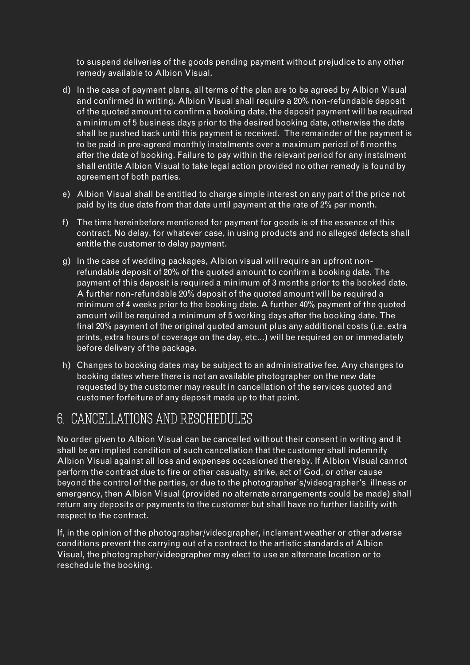to suspend deliveries of the goods pending payment without prejudice to any other remedy available to Albion Visual.

- d) In the case of payment plans, all terms of the plan are to be agreed by Albion Visual and confirmed in writing. Albion Visual shall require a 20% non-refundable deposit of the quoted amount to confirm a booking date, the deposit payment will be required a minimum of 5 business days prior to the desired booking date, otherwise the date shall be pushed back until this payment is received. The remainder of the payment is to be paid in pre-agreed monthly instalments over a maximum period of 6 months after the date of booking. Failure to pay within the relevant period for any instalment shall entitle Albion Visual to take legal action provided no other remedy is found by agreement of both parties.
- e) Albion Visual shall be entitled to charge simple interest on any part of the price not paid by its due date from that date until payment at the rate of 2% per month.
- f) The time hereinbefore mentioned for payment for goods is of the essence of this contract. No delay, for whatever case, in using products and no alleged defects shall entitle the customer to delay payment.
- g) In the case of wedding packages, Albion visual will require an upfront nonrefundable deposit of 20% of the quoted amount to confirm a booking date. The payment of this deposit is required a minimum of 3 months prior to the booked date. A further non-refundable 20% deposit of the quoted amount will be required a minimum of 4 weeks prior to the booking date. A further 40% payment of the quoted amount will be required a minimum of 5 working days after the booking date. The final 20% payment of the original quoted amount plus any additional costs (i.e. extra prints, extra hours of coverage on the day, etc…) will be required on or immediately before delivery of the package.
- h) Changes to booking dates may be subject to an administrative fee. Any changes to booking dates where there is not an available photographer on the new date requested by the customer may result in cancellation of the services quoted and customer forfeiture of any deposit made up to that point.

# 6. CANCELLATIONS AND RESCHEDULES

No order given to Albion Visual can be cancelled without their consent in writing and it shall be an implied condition of such cancellation that the customer shall indemnify Albion Visual against all loss and expenses occasioned thereby. If Albion Visual cannot perform the contract due to fire or other casualty, strike, act of God, or other cause beyond the control of the parties, or due to the photographer's/videographer's illness or emergency, then Albion Visual (provided no alternate arrangements could be made) shall return any deposits or payments to the customer but shall have no further liability with respect to the contract.

If, in the opinion of the photographer/videographer, inclement weather or other adverse conditions prevent the carrying out of a contract to the artistic standards of Albion Visual, the photographer/videographer may elect to use an alternate location or to reschedule the booking.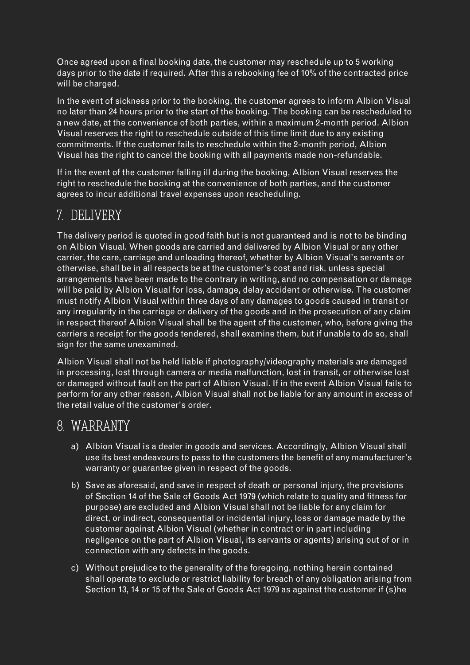Once agreed upon a final booking date, the customer may reschedule up to 5 working days prior to the date if required. After this a rebooking fee of 10% of the contracted price will be charged.

In the event of sickness prior to the booking, the customer agrees to inform Albion Visual no later than 24 hours prior to the start of the booking. The booking can be rescheduled to a new date, at the convenience of both parties, within a maximum 2-month period. Albion Visual reserves the right to reschedule outside of this time limit due to any existing commitments. If the customer fails to reschedule within the 2-month period, Albion Visual has the right to cancel the booking with all payments made non-refundable.

If in the event of the customer falling ill during the booking, Albion Visual reserves the right to reschedule the booking at the convenience of both parties, and the customer agrees to incur additional travel expenses upon rescheduling.

## 7. DELIVERY

The delivery period is quoted in good faith but is not guaranteed and is not to be binding on Albion Visual. When goods are carried and delivered by Albion Visual or any other carrier, the care, carriage and unloading thereof, whether by Albion Visual's servants or otherwise, shall be in all respects be at the customer's cost and risk, unless special arrangements have been made to the contrary in writing, and no compensation or damage will be paid by Albion Visual for loss, damage, delay accident or otherwise. The customer must notify Albion Visual within three days of any damages to goods caused in transit or any irregularity in the carriage or delivery of the goods and in the prosecution of any claim in respect thereof Albion Visual shall be the agent of the customer, who, before giving the carriers a receipt for the goods tendered, shall examine them, but if unable to do so, shall sign for the same unexamined.

Albion Visual shall not be held liable if photography/videography materials are damaged in processing, lost through camera or media malfunction, lost in transit, or otherwise lost or damaged without fault on the part of Albion Visual. If in the event Albion Visual fails to perform for any other reason, Albion Visual shall not be liable for any amount in excess of the retail value of the customer's order.

## 8. WARRANTY

- a) Albion Visual is a dealer in goods and services. Accordingly, Albion Visual shall use its best endeavours to pass to the customers the benefit of any manufacturer's warranty or guarantee given in respect of the goods.
- b) Save as aforesaid, and save in respect of death or personal injury, the provisions of Section 14 of the Sale of Goods Act 1979 (which relate to quality and fitness for purpose) are excluded and Albion Visual shall not be liable for any claim for direct, or indirect, consequential or incidental injury, loss or damage made by the customer against Albion Visual (whether in contract or in part including negligence on the part of Albion Visual, its servants or agents) arising out of or in connection with any defects in the goods.
- c) Without prejudice to the generality of the foregoing, nothing herein contained shall operate to exclude or restrict liability for breach of any obligation arising from Section 13, 14 or 15 of the Sale of Goods Act 1979 as against the customer if (s)he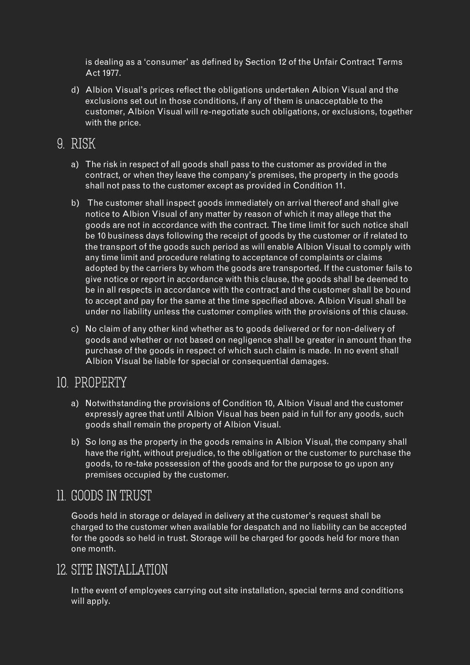is dealing as a 'consumer' as defined by Section 12 of the Unfair Contract Terms Act 1977.

d) Albion Visual's prices reflect the obligations undertaken Albion Visual and the exclusions set out in those conditions, if any of them is unacceptable to the customer, Albion Visual will re-negotiate such obligations, or exclusions, together with the price.

### 9. RISK

- a) The risk in respect of all goods shall pass to the customer as provided in the contract, or when they leave the company's premises, the property in the goods shall not pass to the customer except as provided in Condition 11.
- b) The customer shall inspect goods immediately on arrival thereof and shall give notice to Albion Visual of any matter by reason of which it may allege that the goods are not in accordance with the contract. The time limit for such notice shall be 10 business days following the receipt of goods by the customer or if related to the transport of the goods such period as will enable Albion Visual to comply with any time limit and procedure relating to acceptance of complaints or claims adopted by the carriers by whom the goods are transported. If the customer fails to give notice or report in accordance with this clause, the goods shall be deemed to be in all respects in accordance with the contract and the customer shall be bound to accept and pay for the same at the time specified above. Albion Visual shall be under no liability unless the customer complies with the provisions of this clause.
- c) No claim of any other kind whether as to goods delivered or for non-delivery of goods and whether or not based on negligence shall be greater in amount than the purchase of the goods in respect of which such claim is made. In no event shall Albion Visual be liable for special or consequential damages.

#### 10. PROPERTY

- a) Notwithstanding the provisions of Condition 10, Albion Visual and the customer expressly agree that until Albion Visual has been paid in full for any goods, such goods shall remain the property of Albion Visual.
- b) So long as the property in the goods remains in Albion Visual, the company shall have the right, without prejudice, to the obligation or the customer to purchase the goods, to re-take possession of the goods and for the purpose to go upon any premises occupied by the customer.

# 11. GOODS IN TRUST

Goods held in storage or delayed in delivery at the customer's request shall be charged to the customer when available for despatch and no liability can be accepted for the goods so held in trust. Storage will be charged for goods held for more than one month.

# 12. SITE INSTALLATION

In the event of employees carrying out site installation, special terms and conditions will apply.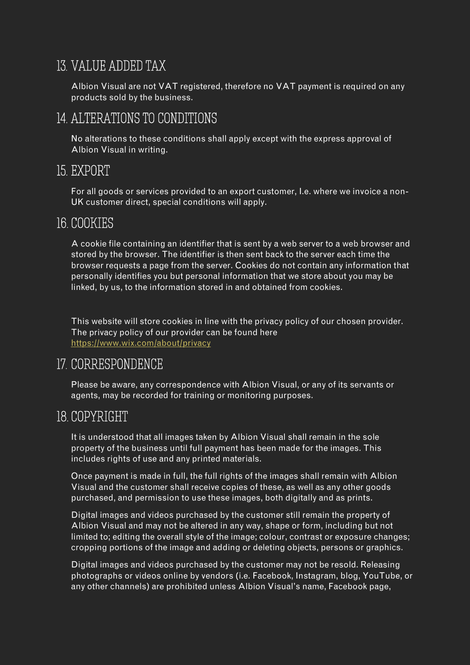# 13. VALUE ADDED TAX

Albion Visual are not VAT registered, therefore no VAT payment is required on any products sold by the business.

### 14. ALTERATIONS TO CONDITIONS

No alterations to these conditions shall apply except with the express approval of Albion Visual in writing.

#### 15. EXPORT

For all goods or services provided to an export customer, I.e. where we invoice a non-UK customer direct, special conditions will apply.

#### 16. COOKIES

A cookie file containing an identifier that is sent by a web server to a web browser and stored by the browser. The identifier is then sent back to the server each time the browser requests a page from the server. Cookies do not contain any information that personally identifies you but personal information that we store about you may be linked, by us, to the information stored in and obtained from cookies.

This website will store cookies in line with the privacy policy of our chosen provider. The privacy policy of our provider can be found here <https://www.wix.com/about/privacy>

## 17. CORRESPONDENCE

Please be aware, any correspondence with Albion Visual, or any of its servants or agents, may be recorded for training or monitoring purposes.

#### 18. COPYRIGHT

It is understood that all images taken by Albion Visual shall remain in the sole property of the business until full payment has been made for the images. This includes rights of use and any printed materials.

Once payment is made in full, the full rights of the images shall remain with Albion Visual and the customer shall receive copies of these, as well as any other goods purchased, and permission to use these images, both digitally and as prints.

Digital images and videos purchased by the customer still remain the property of Albion Visual and may not be altered in any way, shape or form, including but not limited to; editing the overall style of the image; colour, contrast or exposure changes; cropping portions of the image and adding or deleting objects, persons or graphics.

Digital images and videos purchased by the customer may not be resold. Releasing photographs or videos online by vendors (i.e. Facebook, Instagram, blog, YouTube, or any other channels) are prohibited unless Albion Visual's name, Facebook page,